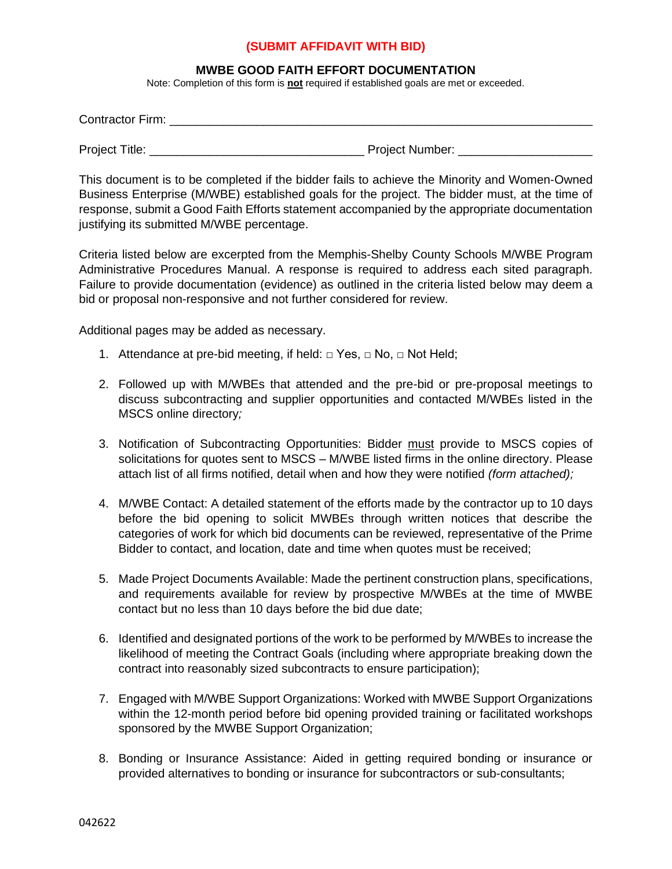## **(SUBMIT AFFIDAVIT WITH BID)**

## **MWBE GOOD FAITH EFFORT DOCUMENTATION**

Note: Completion of this form is **not** required if established goals are met or exceeded.

| <b>Contractor Firm:</b> |                 |
|-------------------------|-----------------|
| <b>Project Title:</b>   | Project Number: |

This document is to be completed if the bidder fails to achieve the Minority and Women-Owned Business Enterprise (M/WBE) established goals for the project. The bidder must, at the time of response, submit a Good Faith Efforts statement accompanied by the appropriate documentation justifying its submitted M/WBE percentage.

Criteria listed below are excerpted from the Memphis-Shelby County Schools M/WBE Program Administrative Procedures Manual. A response is required to address each sited paragraph. Failure to provide documentation (evidence) as outlined in the criteria listed below may deem a bid or proposal non-responsive and not further considered for review.

Additional pages may be added as necessary.

- 1. Attendance at pre-bid meeting, if held:  $\Box$  Yes,  $\Box$  No,  $\Box$  Not Held;
- 2. Followed up with M/WBEs that attended and the pre-bid or pre-proposal meetings to discuss subcontracting and supplier opportunities and contacted M/WBEs listed in the MSCS online directory*;*
- 3. Notification of Subcontracting Opportunities: Bidder must provide to MSCS copies of solicitations for quotes sent to MSCS – M/WBE listed firms in the online directory. Please attach list of all firms notified, detail when and how they were notified *(form attached);*
- 4. M/WBE Contact: A detailed statement of the efforts made by the contractor up to 10 days before the bid opening to solicit MWBEs through written notices that describe the categories of work for which bid documents can be reviewed, representative of the Prime Bidder to contact, and location, date and time when quotes must be received;
- 5. Made Project Documents Available: Made the pertinent construction plans, specifications, and requirements available for review by prospective M/WBEs at the time of MWBE contact but no less than 10 days before the bid due date;
- 6. Identified and designated portions of the work to be performed by M/WBEs to increase the likelihood of meeting the Contract Goals (including where appropriate breaking down the contract into reasonably sized subcontracts to ensure participation);
- 7. Engaged with M/WBE Support Organizations: Worked with MWBE Support Organizations within the 12-month period before bid opening provided training or facilitated workshops sponsored by the MWBE Support Organization;
- 8. Bonding or Insurance Assistance: Aided in getting required bonding or insurance or provided alternatives to bonding or insurance for subcontractors or sub-consultants;